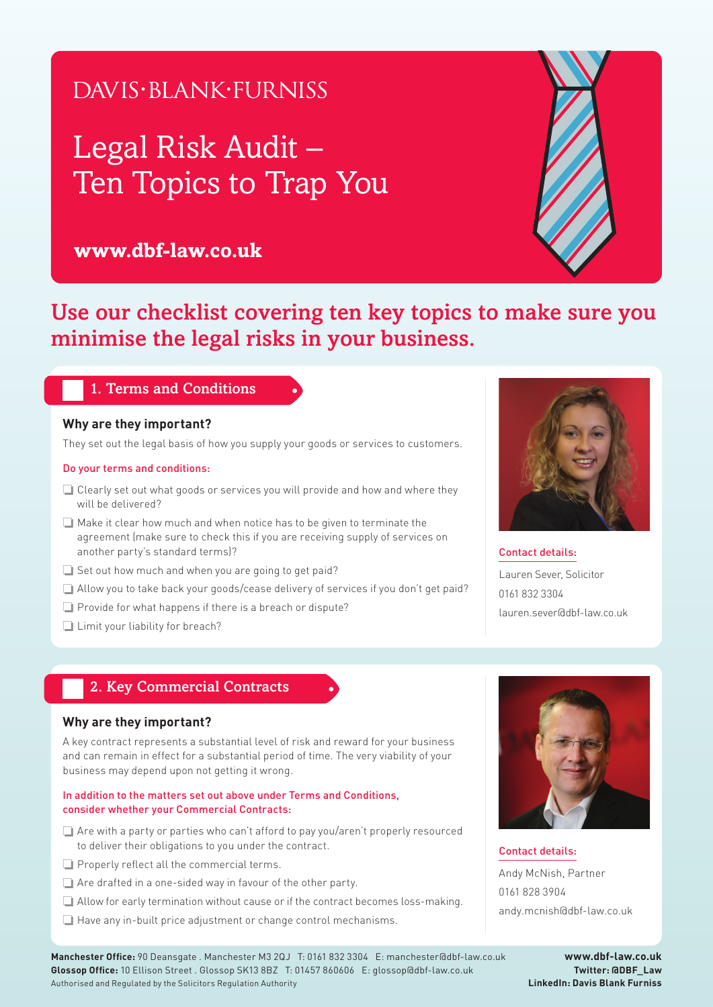## DAVIS·BLANK·FURNISS

# Legal Risk Audit – Ten Topics to Trap You

## **www.dbf-law.co.uk**



Use our checklist covering ten key topics to make sure you minimise the legal risks in your business.

## 1. Terms and Conditions

### **Why are they important?**

They set out the legal basis of how you supply your goods or services to customers.

#### Do your terms and conditions:

- ❏ Clearly set out what goods or services you will provide and how and where they will be delivered?
- ❏ Make it clear how much and when notice has to be given to terminate the agreement (make sure to check this if you are receiving supply of services on another party's standard terms)?
- ❏ Set out how much and when you are going to get paid?
- ❏ Allow you to take back your goods/cease delivery of services if you don't get paid?
- ❏ Provide for what happens if there is a breach or dispute?
- ❏ Limit your liability for breach?



Contact details: Lauren Sever, Solicitor 0161 832 3304

lauren.sever@dbf-law.co.uk

## 2. Key Commercial Contracts

#### **Why are they important?**

A key contract represents a substantial level of risk and reward for your business and can remain in effect for a substantial period of time. The very viability of your business may depend upon not getting it wrong.

#### In addition to the matters set out above under Terms and Conditions, consider whether your Commercial Contracts:

- ❏ Are with a party or parties who can't afford to pay you/aren't properly resourced to deliver their obligations to you under the contract.
- ❏ Properly reflect all the commercial terms.
- ❏ Are drafted in a one-sided way in favour of the other party.
- ❏ Allow for early termination without cause or if the contract becomes loss-making.
- ❏ Have any in-built price adjustment or change control mechanisms.



Contact details: Andy McNish, Partner 0161 828 3904 andy.mcnish@dbf-law.co.uk

**Manchester Office:** 90 Deansgate . Manchester M3 2QJ T: 0161 832 3304 E: manchester@dbf-law.co.uk **Glossop Office:** 10 Ellison Street . Glossop SK13 8BZ T: 01457 860606 E: glossop@dbf-law.co.uk Authorised and Regulated by the Solicitors Regulation Authority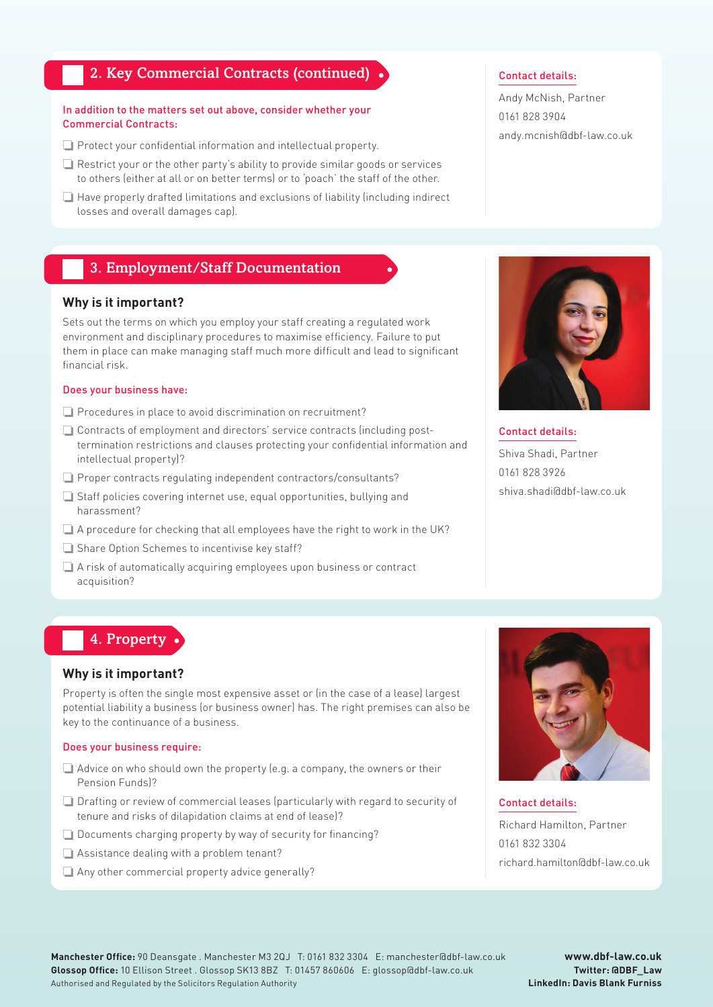## 2. Key Commercial Contracts (continued)

#### In addition to the matters set out above, consider whether your Commercial Contracts:

- ❏ Protect your confidential information and intellectual property.
- ❏ Restrict your or the other party's ability to provide similar goods or services to others (either at all or on better terms) or to 'poach' the staff of the other.
- ❏ Have properly drafted limitations and exclusions of liability (including indirect losses and overall damages cap).

## 3. Employment/Staff Documentation

#### **Why is it important?**

Sets out the terms on which you employ your staff creating a regulated work environment and disciplinary procedures to maximise efficiency. Failure to put them in place can make managing staff much more difficult and lead to significant financial risk.

#### Does your business have:

- ❏ Procedures in place to avoid discrimination on recruitment?
- ❏ Contracts of employment and directors' service contracts (including posttermination restrictions and clauses protecting your confidential information and intellectual property)?
- ❏ Proper contracts regulating independent contractors/consultants?
- ❏ Staff policies covering internet use, equal opportunities, bullying and harassment?
- ❏ A procedure for checking that all employees have the right to work in the UK?
- ❏ Share Option Schemes to incentivise key staff?
- ❏ A risk of automatically acquiring employees upon business or contract acquisition?

#### Contact details:

Andy McNish, Partner 0161 828 3904 andy.mcnish@dbf-law.co.uk



#### Contact details:

Shiva Shadi, Partner 0161 828 3926 shiva.shadi@dbf-law.co.uk

## 4. Property

#### **Why is it important?**

Property is often the single most expensive asset or (in the case of a lease) largest potential liability a business (or business owner) has. The right premises can also be key to the continuance of a business.

#### Does your business require:

- ❏ Advice on who should own the property (e.g. a company, the owners or their Pension Funds)?
- ❏ Drafting or review of commercial leases (particularly with regard to security of tenure and risks of dilapidation claims at end of lease)?
- ❏ Documents charging property by way of security for financing?
- ❏ Assistance dealing with a problem tenant?
- ❏ Any other commercial property advice generally?



Contact details: Richard Hamilton, Partner 0161 832 3304 richard.hamilton@dbf-law.co.uk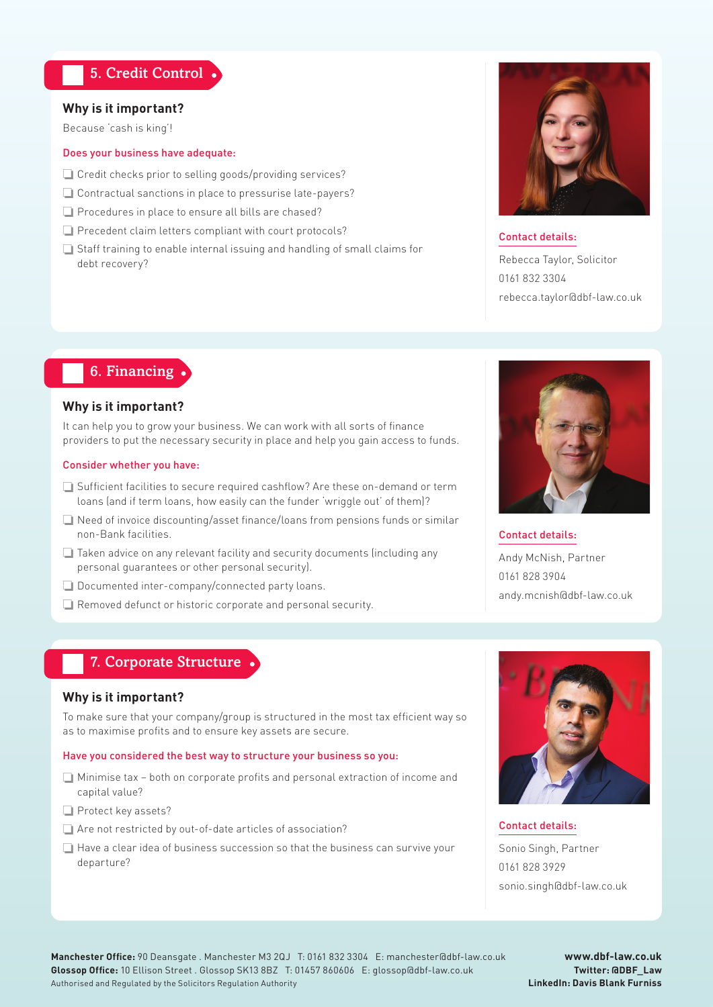## 5. Credit Control

#### **Why is it important?**

Because 'cash is king'!

#### Does your business have adequate:

- ❏ Credit checks prior to selling goods/providing services?
- ❏ Contractual sanctions in place to pressurise late-payers?
- ❏ Procedures in place to ensure all bills are chased?
- ❏ Precedent claim letters compliant with court protocols?
- ❏ Staff training to enable internal issuing and handling of small claims for debt recovery?



#### Contact details:

Rebecca Taylor, Solicitor 0161 832 3304 rebecca.taylor@dbf-law.co.uk

## 6. Financing

#### **Why is it important?**

It can help you to grow your business. We can work with all sorts of finance providers to put the necessary security in place and help you gain access to funds.

#### Consider whether you have:

- ❏ Sufficient facilities to secure required cashflow? Are these on-demand or term loans (and if term loans, how easily can the funder 'wriggle out' of them)?
- ❏ Need of invoice discounting/asset finance/loans from pensions funds or similar non-Bank facilities.
- ❏ Taken advice on any relevant facility and security documents (including any personal guarantees or other personal security).
- ❏ Documented inter-company/connected party loans.
- ❏ Removed defunct or historic corporate and personal security.



Contact details: Andy McNish, Partner 0161 828 3904 andy.mcnish@dbf-law.co.uk

## 7. Corporate Structure

#### **Why is it important?**

To make sure that your company/group is structured in the most tax efficient way so as to maximise profits and to ensure key assets are secure.

#### Have you considered the best way to structure your business so you:

- ❏ Minimise tax both on corporate profits and personal extraction of income and capital value?
- ❏ Protect key assets?
- ❏ Are not restricted by out-of-date articles of association?
- ❏ Have a clear idea of business succession so that the business can survive your departure?



Contact details: Sonio Singh, Partner 0161 828 3929 sonio.singh@dbf-law.co.uk

**Manchester Office:** 90 Deansgate . Manchester M3 2QJ T: 0161 832 3304 E: manchester@dbf-law.co.uk **Glossop Office:** 10 Ellison Street . Glossop SK13 8BZ T: 01457 860606 E: glossop@dbf-law.co.uk Authorised and Regulated by the Solicitors Regulation Authority